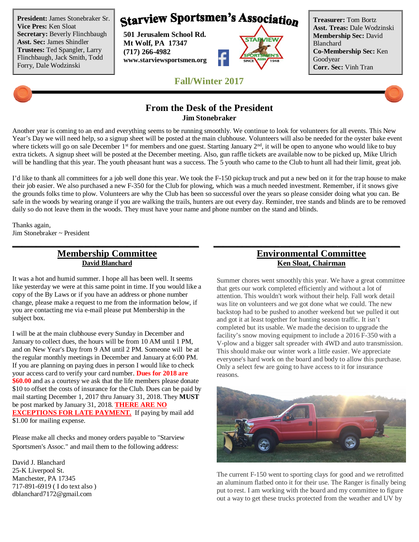**President:** James Stonebraker Sr. **Vice Pres:** Ken Sloat **Secretary:** Beverly Flinchbaugh **Asst. Sec:** James Shindler **Trustees:** Ted Spangler, Larry Flinchbaugh, Jack Smith, Todd Forry, Dale Wodzinski

# **Starview Sportsmen's Association**

**501 Jerusalem School Rd. Mt Wolf, PA 17347 (717) 266-4982 www.starviewsportsmen.org**



**Treasurer:** Tom Bortz **Asst. Treas:** Dale Wodzinski **Membership Sec:** David Blanchard **Co-Membership Sec:** Ken Goodyear **Corr. Sec:** Vinh Tran

#### **From the Desk of the President Jim Stonebraker**

**Fall/Winter 2017**

Another year is coming to an end and everything seems to be running smoothly. We continue to look for volunteers for all events. This New Year's Day we will need help, so a signup sheet will be posted at the main clubhouse. Volunteers will also be needed for the oyster bake event where tickets will go on sale December 1<sup>st</sup> for members and one guest. Starting January 2<sup>nd</sup>, it will be open to anyone who would like to buy extra tickets. A signup sheet will be posted at the December meeting. Also, gun raffle tickets are available now to be picked up, Mike Ulrich will be handling that this year. The youth pheasant hunt was a success. The 5 youth who came to the Club to hunt all had their limit, great job.

I'd like to thank all committees for a job well done this year. We took the F-150 pickup truck and put a new bed on it for the trap house to make their job easier. We also purchased a new F-350 for the Club for plowing, which was a much needed investment. Remember, if it snows give the grounds folks time to plow. Volunteers are why the Club has been so successful over the years so please consider doing what you can. Be safe in the woods by wearing orange if you are walking the trails, hunters are out every day. Reminder, tree stands and blinds are to be removed daily so do not leave them in the woods. They must have your name and phone number on the stand and blinds.

**\_\_\_\_\_\_\_\_\_\_\_\_\_\_\_\_\_\_\_\_\_\_\_\_\_\_\_\_\_\_\_\_\_\_\_\_\_\_\_ \_\_\_\_\_\_\_\_\_\_\_\_\_\_\_\_\_\_\_\_\_\_\_\_\_\_\_\_\_\_\_\_\_\_\_\_\_\_\_**

Thanks again, Jim Stonebraker ~ President

#### **Membership Committee David Blanchard**

It was a hot and humid summer. I hope all has been well. It seems like yesterday we were at this same point in time. If you would like a copy of the By Laws or if you have an address or phone number change, please make a request to me from the information below, if you are contacting me via e-mail please put Membership in the subject box.

I will be at the main clubhouse every Sunday in December and January to collect dues, the hours will be from 10 AM until 1 PM, and on New Year's Day from 9 AM until 2 PM. Someone will be at the regular monthly meetings in December and January at 6:00 PM. If you are planning on paying dues in person I would like to check your access card to verify your card number. **Dues for 2018 are \$60.00** and as a courtesy we ask that the life members please donate \$10 to offset the costs of insurance for the Club. Dues can be paid by mail starting December 1, 2017 thru January 31, 2018. They **MUST** be post marked by January 31, 2018. **THERE ARE NO EXCEPTIONS FOR LATE PAYMENT.** If paying by mail add \$1.00 for mailing expense.

Please make all checks and money orders payable to "Starview Sportsmen's Assoc." and mail them to the following address:

David J. Blanchard 25-K Liverpool St. Manchester, PA 17345 717-891-6919 ( I do text also ) dblanchard7172@gmail.com

### **Environmental Committee Ken Sloat, Chairman**

Summer chores went smoothly this year. We have a great committee that gets our work completed efficiently and without a lot of attention. This wouldn't work without their help. Fall work detail was lite on volunteers and we got done what we could. The new backstop had to be pushed to another weekend but we pulled it out and got it at least together for hunting season traffic. It isn't completed but its usable. We made the decision to upgrade the facility's snow moving equipment to include a 2016 F-350 with a V-plow and a bigger salt spreader with 4WD and auto transmission. This should make our winter work a little easier. We appreciate everyone's hard work on the board and body to allow this purchase. Only a select few are going to have access to it for insurance reasons.



The current F-150 went to sporting clays for good and we retrofitted an aluminum flatbed onto it for their use. The Ranger is finally being put to rest. I am working with the board and my committee to figure out a way to get these trucks protected from the weather and UV by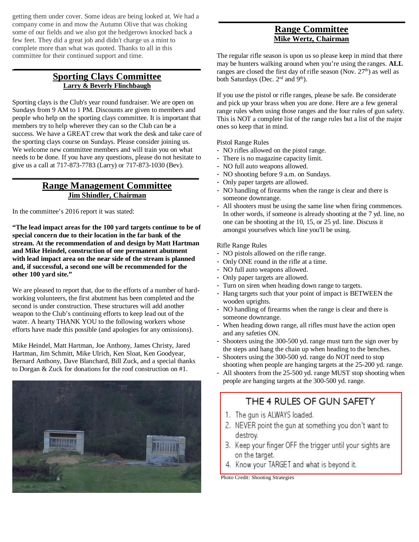getting them under cover. Some ideas are being looked at. We had a company come in and mow the Autumn Olive that was choking some of our fields and we also got the hedgerows knocked back a few feet. They did a great job and didn't charge us a mint to complete more than what was quoted. Thanks to all in this committee for their continued support and time.

#### **Sporting Clays Committee Larry & Beverly Flinchbaugh**

**\_\_\_\_\_\_\_\_\_\_\_\_\_\_\_\_\_\_\_\_\_\_\_\_\_\_\_\_\_\_\_\_\_\_\_\_\_\_\_**

Sporting clays is the Club's year round fundraiser. We are open on Sundays from 9 AM to 1 PM. Discounts are given to members and people who help on the sporting clays committee. It is important that members try to help wherever they can so the Club can be a success. We have a GREAT crew that work the desk and take care of the sporting clays course on Sundays. Please consider joining us. We welcome new committee members and will train you on what needs to be done. If you have any questions, please do not hesitate to give us a call at 717-873-7783 (Larry) or 717-873-1030 (Bev).

#### **Range Management Committee Jim Shindler, Chairman**

**\_\_\_\_\_\_\_\_\_\_\_\_\_\_\_\_\_\_\_\_\_\_\_\_\_\_\_\_\_\_\_\_\_\_\_\_\_\_\_**

In the committee's 2016 report it was stated:

**"The lead impact areas for the 100 yard targets continue to be of special concern due to their location in the far bank of the stream. At the recommendation of and design by Matt Hartman and Mike Heindel, construction of one permanent abutment with lead impact area on the near side of the stream is planned and, if successful, a second one will be recommended for the other 100 yard site."**

We are pleased to report that, due to the efforts of a number of hardworking volunteers, the first abutment has been completed and the second is under construction. These structures will add another weapon to the Club's continuing efforts to keep lead out of the water. A hearty THANK YOU to the following workers whose efforts have made this possible (and apologies for any omissions).

Mike Heindel, Matt Hartman, Joe Anthony, James Christy, Jared Hartman, Jim Schmitt, Mike Ulrich, Ken Sloat, Ken Goodyear, Bernard Anthony, Dave Blanchard, Bill Zuck, and a special thanks to Dorgan & Zuck for donations for the roof construction on #1.



#### **Range Committee Mike Wertz, Chairman**

**\_\_\_\_\_\_\_\_\_\_\_\_\_\_\_\_\_\_\_\_\_\_\_\_\_\_\_\_\_\_\_\_\_\_\_\_\_\_\_**

The regular rifle season is upon us so please keep in mind that there may be hunters walking around when you're using the ranges. **ALL** ranges are closed the first day of rifle season (Nov. 27<sup>th</sup>) as well as both Saturdays (Dec. 2<sup>rd</sup> and 9<sup>th</sup>).

If you use the pistol or rifle ranges, please be safe. Be considerate and pick up your brass when you are done. Here are a few general range rules when using those ranges and the four rules of gun safety. This is NOT a complete list of the range rules but a list of the major ones so keep that in mind.

Pistol Range Rules

- NO rifles allowed on the pistol range.
- There is no magazine capacity limit.
- NO full auto weapons allowed.
- NO shooting before 9 a.m. on Sundays.
- Only paper targets are allowed.
- NO handling of firearms when the range is clear and there is someone downrange.
- All shooters must be using the same line when firing commences. In other words, if someone is already shooting at the 7 yd. line, no one can be shooting at the 10, 15, or 25 yd. line. Discuss it amongst yourselves which line you'll be using.

Rifle Range Rules

- NO pistols allowed on the rifle range.
- Only ONE round in the rifle at a time.
- NO full auto weapons allowed.
- Only paper targets are allowed.
- Turn on siren when heading down range to targets.
- Hang targets such that your point of impact is BETWEEN the wooden uprights.
- NO handling of firearms when the range is clear and there is someone downrange.
- When heading down range, all rifles must have the action open and any safeties ON.
- Shooters using the 300-500 yd. range must turn the sign over by the steps and hang the chain up when heading to the benches.
- Shooters using the 300-500 yd. range do NOT need to stop shooting when people are hanging targets at the 25-200 yd. range.
- All shooters from the 25-500 yd. range MUST stop shooting when people are hanging targets at the 300-500 yd. range.

# THE 4 RULES OF GUN SAFETY

- 1. The gun is ALWAYS loaded.
- 2. NEVER point the gun at something you don't want to destroy.
- 3. Keep your finger OFF the trigger until your sights are on the target.
- 4. Know your TARGET and what is beyond it.

Photo Credit: Shooting Strategies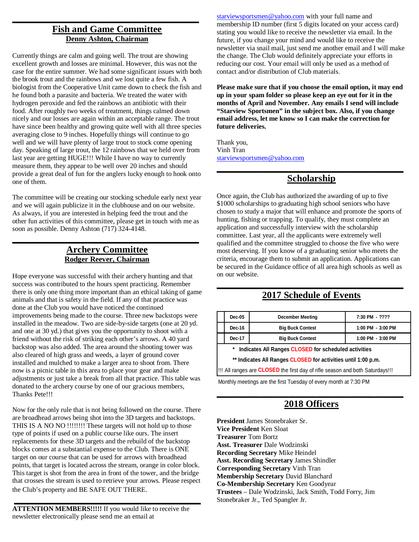#### **Fish and Game Committee Denny Ashton, Chairman**

**\_\_\_\_\_\_\_\_\_\_\_\_\_\_\_\_\_\_\_\_\_\_\_\_\_\_\_\_\_\_\_\_\_\_\_\_\_\_\_**

Currently things are calm and going well. The trout are showing excellent growth and losses are minimal. However, this was not the case for the entire summer. We had some significant issues with both the brook trout and the rainbows and we lost quite a few fish. A biologist from the Cooperative Unit came down to check the fish and he found both a parasite and bacteria. We treated the water with hydrogen peroxide and fed the rainbows an antibiotic with their food. After roughly two weeks of treatment, things calmed down nicely and our losses are again within an acceptable range. The trout have since been healthy and growing quite well with all three species averaging close to 9 inches. Hopefully things will continue to go well and we will have plenty of large trout to stock come opening day. Speaking of large trout, the 12 rainbows that we held over from last year are getting HUGE!!! While I have no way to currently measure them, they appear to be well over 20 inches and should provide a great deal of fun for the anglers lucky enough to hook onto one of them.

The committee will be creating our stocking schedule early next year and we will again publicize it in the clubhouse and on our website. As always, if you are interested in helping feed the trout and the other fun activities of this committee, please get in touch with me as soon as possible. Denny Ashton (717) 324-4148.

#### **Archery Committee Rodger Reever, Chairman**

**\_\_\_\_\_\_\_\_\_\_\_\_\_\_\_\_\_\_\_\_\_\_\_\_\_\_\_\_\_\_\_\_\_\_\_\_\_\_\_**

Hope everyone was successful with their archery hunting and that success was contributed to the hours spent practicing. Remember there is only one thing more important than an ethical taking of game animals and that is safety in the field. If any of that practice was done at the Club you would have noticed the continued improvements being made to the course. Three new backstops were installed in the meadow. Two are side-by-side targets (one at 20 yd. and one at 30 yd.) that gives you the opportunity to shoot with a friend without the risk of striking each other's arrows. A 40 yard backstop was also added. The area around the shooting tower was also cleared of high grass and weeds, a layer of ground cover installed and mulched to make a larger area to shoot from. There now is a picnic table in this area to place your gear and make adjustments or just take a break from all that practice. This table was donated to the archery course by one of our gracious members, Thanks Pete!!!

Now for the only rule that is not being followed on the course. There are broadhead arrows being shot into the 3D targets and backstops. THIS IS A NO NO !!!!!!!! These targets will not hold up to those type of points if used on a public course like ours. The insert replacements for these 3D targets and the rebuild of the backstop blocks comes at a substantial expense to the Club. There is ONE target on our course that can be used for arrows with broadhead points, that target is located across the stream, orange in color block. This target is shot from the area in front of the tower, and the bridge that crosses the stream is used to retrieve your arrows. Please respect the Club's property and BE SAFE OUT THERE.

**ATTENTION MEMBERS!!!!!** If you would like to receive the newsletter electronically please send me an email at

**\_\_\_\_\_\_\_\_\_\_\_\_\_\_\_\_\_\_\_\_\_\_\_\_\_\_\_\_\_\_\_\_\_\_\_\_\_\_\_**

starviewsportsmen@yahoo.com with your full name and membership ID number (first 5 digits located on your access card) stating you would like to receive the newsletter via email. In the future, if you change your mind and would like to receive the newsletter via snail mail, just send me another email and I will make the change. The Club would definitely appreciate your efforts in reducing our cost. Your email will only be used as a method of contact and/or distribution of Club materials.

**Please make sure that if you choose the email option, it may end up in your spam folder so please keep an eye out for it in the months of April and November. Any emails I send will include "Starview Sportsmen" in the subject box. Also, if you change email address, let me know so I can make the correction for future deliveries.**

Thank you, Vinh Tran starviewsportsmen@yahoo.com

### **\_\_\_\_\_\_\_\_\_\_\_\_\_\_\_\_\_\_\_\_\_\_\_\_\_\_\_\_\_\_\_\_\_\_\_\_\_\_\_ Scholarship**

Once again, the Club has authorized the awarding of up to five \$1000 scholarships to graduating high school seniors who have chosen to study a major that will enhance and promote the sports of hunting, fishing or trapping. To qualify, they must complete an application and successfully interview with the scholarship committee. Last year, all the applicants were extremely well qualified and the committee struggled to choose the five who were most deserving. If you know of a graduating senior who meets the criteria, encourage them to submit an application. Applications can be secured in the Guidance office of all area high schools as well as on our website.

# **\_\_\_\_\_\_\_\_\_\_\_\_\_\_\_\_\_\_\_\_\_\_\_\_\_\_\_\_\_\_\_\_\_\_\_\_\_\_\_ 2017 Schedule of Events**

|                                                           | Dec-05 | <b>December Meeting</b> | 7:30 PM - ????    |  |  |
|-----------------------------------------------------------|--------|-------------------------|-------------------|--|--|
|                                                           | Dec-16 | <b>Big Buck Contest</b> | 1:00 PM - 3:00 PM |  |  |
|                                                           | Dec-17 | <b>Big Buck Contest</b> | 1:00 PM - 3:00 PM |  |  |
| Indicates All Ranges CLOSED for scheduled activities<br>* |        |                         |                   |  |  |

**\*\* Indicates All Ranges CLOSED for activities until 1:00 p.m.**

!!! All ranges are **CLOSED** the first day of rifle season and both Saturdays!!!

Monthly meetings are the first Tuesday of every month at 7:30 PM

# **\_\_\_\_\_\_\_\_\_\_\_\_\_\_\_\_\_\_\_\_\_\_\_\_\_\_\_\_\_\_\_\_\_\_\_\_\_\_\_ 2018 Officers**

**President** James Stonebraker Sr. **Vice President** Ken Sloat **Treasurer** Tom Bortz **Asst. Treasurer** Dale Wodzinski **Recording Secretary** Mike Heindel **Asst. Recording Secretary** James Shindler **Corresponding Secretary** Vinh Tran **Membership Secretary** David Blanchard **Co-Membership Secretary** Ken Goodyear **Trustees** – Dale Wodzinski, Jack Smith, Todd Forry, Jim Stonebraker Jr., Ted Spangler Jr.